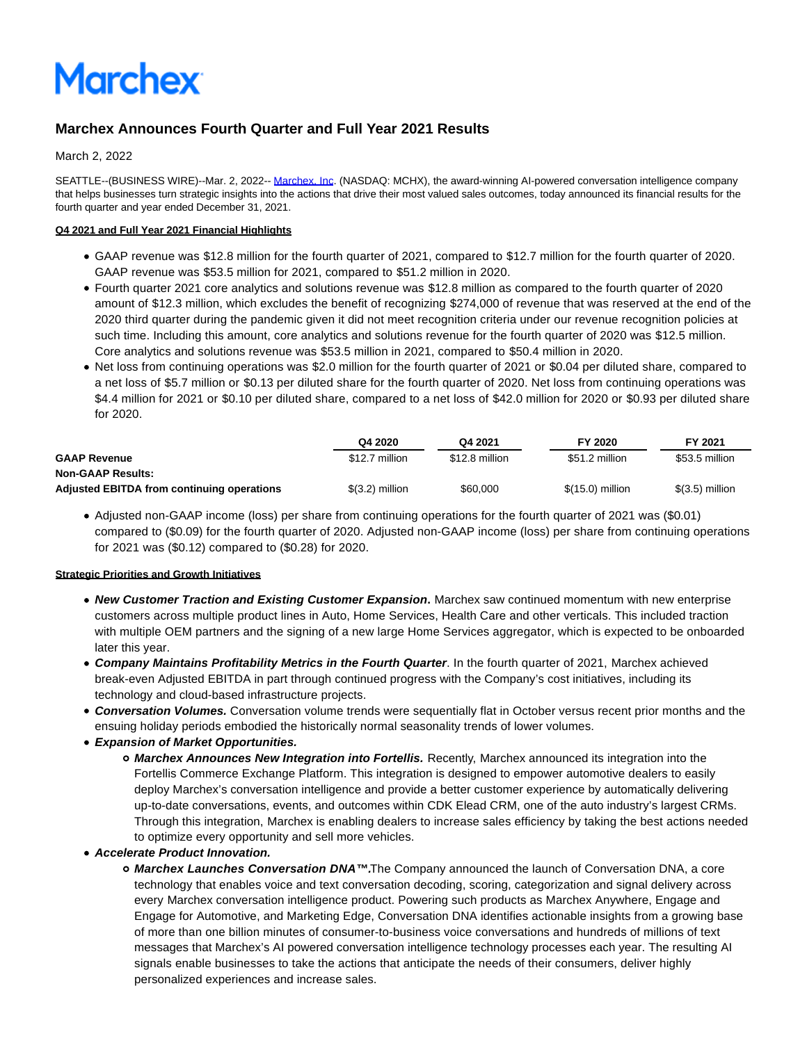# **Marchex**

## **Marchex Announces Fourth Quarter and Full Year 2021 Results**

March 2, 2022

SEATTLE--(BUSINESS WIRE)--Mar. 2, 2022-- [Marchex, Inc.](https://cts.businesswire.com/ct/CT?id=smartlink&url=http%3A%2F%2Fwww.marchex.com&esheet=52588654&newsitemid=20220302005935&lan=en-US&anchor=Marchex%2C+Inc&index=1&md5=f5f5ec6f51fa46834fc73b12b9dffa6a) (NASDAQ: MCHX), the award-winning AI-powered conversation intelligence company that helps businesses turn strategic insights into the actions that drive their most valued sales outcomes, today announced its financial results for the fourth quarter and year ended December 31, 2021.

## **Q4 2021 and Full Year 2021 Financial Highlights**

- GAAP revenue was \$12.8 million for the fourth quarter of 2021, compared to \$12.7 million for the fourth quarter of 2020. GAAP revenue was \$53.5 million for 2021, compared to \$51.2 million in 2020.
- Fourth quarter 2021 core analytics and solutions revenue was \$12.8 million as compared to the fourth quarter of 2020 amount of \$12.3 million, which excludes the benefit of recognizing \$274,000 of revenue that was reserved at the end of the 2020 third quarter during the pandemic given it did not meet recognition criteria under our revenue recognition policies at such time. Including this amount, core analytics and solutions revenue for the fourth quarter of 2020 was \$12.5 million. Core analytics and solutions revenue was \$53.5 million in 2021, compared to \$50.4 million in 2020.
- Net loss from continuing operations was \$2.0 million for the fourth quarter of 2021 or \$0.04 per diluted share, compared to a net loss of \$5.7 million or \$0.13 per diluted share for the fourth quarter of 2020. Net loss from continuing operations was \$4.4 million for 2021 or \$0.10 per diluted share, compared to a net loss of \$42.0 million for 2020 or \$0.93 per diluted share for 2020.

|                                                   | Q4 2020          | Q4 2021        | FY 2020           | FY 2021          |
|---------------------------------------------------|------------------|----------------|-------------------|------------------|
| <b>GAAP Revenue</b>                               | \$12.7 million   | \$12.8 million | \$51.2 million    | \$53.5 million   |
| <b>Non-GAAP Results:</b>                          |                  |                |                   |                  |
| <b>Adjusted EBITDA from continuing operations</b> | $$(3.2)$ million | \$60,000       | $$(15.0)$ million | $$(3.5)$ million |

Adjusted non-GAAP income (loss) per share from continuing operations for the fourth quarter of 2021 was (\$0.01) compared to (\$0.09) for the fourth quarter of 2020. Adjusted non-GAAP income (loss) per share from continuing operations for 2021 was (\$0.12) compared to (\$0.28) for 2020.

## **Strategic Priorities and Growth Initiatives**

- **New Customer Traction and Existing Customer Expansion.** Marchex saw continued momentum with new enterprise customers across multiple product lines in Auto, Home Services, Health Care and other verticals. This included traction with multiple OEM partners and the signing of a new large Home Services aggregator, which is expected to be onboarded later this year.
- **Company Maintains Profitability Metrics in the Fourth Quarter**. In the fourth quarter of 2021, Marchex achieved break-even Adjusted EBITDA in part through continued progress with the Company's cost initiatives, including its technology and cloud-based infrastructure projects.
- **Conversation Volumes.** Conversation volume trends were sequentially flat in October versus recent prior months and the ensuing holiday periods embodied the historically normal seasonality trends of lower volumes.
- **Expansion of Market Opportunities.**
	- **Marchex Announces New Integration into Fortellis.** Recently, Marchex announced its integration into the Fortellis Commerce Exchange Platform. This integration is designed to empower automotive dealers to easily deploy Marchex's conversation intelligence and provide a better customer experience by automatically delivering up-to-date conversations, events, and outcomes within CDK Elead CRM, one of the auto industry's largest CRMs. Through this integration, Marchex is enabling dealers to increase sales efficiency by taking the best actions needed to optimize every opportunity and sell more vehicles.

## **Accelerate Product Innovation.**

**Marchex Launches Conversation DNA™.** The Company announced the launch of Conversation DNA, a core technology that enables voice and text conversation decoding, scoring, categorization and signal delivery across every Marchex conversation intelligence product. Powering such products as Marchex Anywhere, Engage and Engage for Automotive, and Marketing Edge, Conversation DNA identifies actionable insights from a growing base of more than one billion minutes of consumer-to-business voice conversations and hundreds of millions of text messages that Marchex's AI powered conversation intelligence technology processes each year. The resulting AI signals enable businesses to take the actions that anticipate the needs of their consumers, deliver highly personalized experiences and increase sales.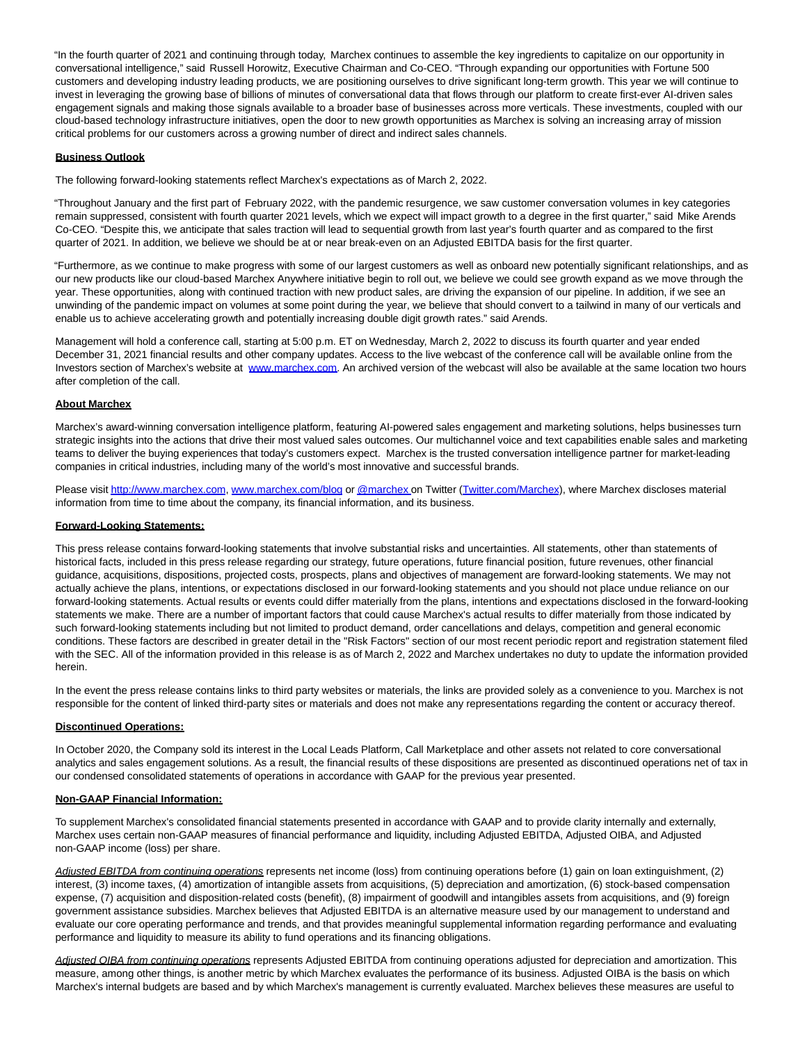"In the fourth quarter of 2021 and continuing through today, Marchex continues to assemble the key ingredients to capitalize on our opportunity in conversational intelligence," said Russell Horowitz, Executive Chairman and Co-CEO. "Through expanding our opportunities with Fortune 500 customers and developing industry leading products, we are positioning ourselves to drive significant long-term growth. This year we will continue to invest in leveraging the growing base of billions of minutes of conversational data that flows through our platform to create first-ever AI-driven sales engagement signals and making those signals available to a broader base of businesses across more verticals. These investments, coupled with our cloud-based technology infrastructure initiatives, open the door to new growth opportunities as Marchex is solving an increasing array of mission critical problems for our customers across a growing number of direct and indirect sales channels.

#### **Business Outlook**

The following forward-looking statements reflect Marchex's expectations as of March 2, 2022.

"Throughout January and the first part of February 2022, with the pandemic resurgence, we saw customer conversation volumes in key categories remain suppressed, consistent with fourth quarter 2021 levels, which we expect will impact growth to a degree in the first quarter," said Mike Arends Co-CEO. "Despite this, we anticipate that sales traction will lead to sequential growth from last year's fourth quarter and as compared to the first quarter of 2021. In addition, we believe we should be at or near break-even on an Adjusted EBITDA basis for the first quarter.

"Furthermore, as we continue to make progress with some of our largest customers as well as onboard new potentially significant relationships, and as our new products like our cloud-based Marchex Anywhere initiative begin to roll out, we believe we could see growth expand as we move through the year. These opportunities, along with continued traction with new product sales, are driving the expansion of our pipeline. In addition, if we see an unwinding of the pandemic impact on volumes at some point during the year, we believe that should convert to a tailwind in many of our verticals and enable us to achieve accelerating growth and potentially increasing double digit growth rates." said Arends.

Management will hold a conference call, starting at 5:00 p.m. ET on Wednesday, March 2, 2022 to discuss its fourth quarter and year ended December 31, 2021 financial results and other company updates. Access to the live webcast of the conference call will be available online from the Investors section of Marchex's website at [www.marchex.com.](https://cts.businesswire.com/ct/CT?id=smartlink&url=http%3A%2F%2Fwww.marchex.com&esheet=52588654&newsitemid=20220302005935&lan=en-US&anchor=www.marchex.com&index=2&md5=d1ffb7acd50c42bf86c2bcaf8eca532d) An archived version of the webcast will also be available at the same location two hours after completion of the call.

#### **About Marchex**

Marchex's award-winning conversation intelligence platform, featuring AI-powered sales engagement and marketing solutions, helps businesses turn strategic insights into the actions that drive their most valued sales outcomes. Our multichannel voice and text capabilities enable sales and marketing teams to deliver the buying experiences that today's customers expect. Marchex is the trusted conversation intelligence partner for market-leading companies in critical industries, including many of the world's most innovative and successful brands.

Please visi[t http://www.marchex.com,](https://cts.businesswire.com/ct/CT?id=smartlink&url=http%3A%2F%2Fwww.marchex.com%2F&esheet=52588654&newsitemid=20220302005935&lan=en-US&anchor=http%3A%2F%2Fwww.marchex.com&index=3&md5=74a0e28f6f757657e25b17c3f1dfd915) [www.marchex.com/blog o](https://cts.businesswire.com/ct/CT?id=smartlink&url=http%3A%2F%2Fwww.marchex.com%2Fblog&esheet=52588654&newsitemid=20220302005935&lan=en-US&anchor=www.marchex.com%2Fblog&index=4&md5=bd95f715d2cb54e8409df8c7f4590ee3)[r @marchex o](https://cts.businesswire.com/ct/CT?id=smartlink&url=https%3A%2F%2Ftwitter.com%2FMarchex&esheet=52588654&newsitemid=20220302005935&lan=en-US&anchor=%40marchex&index=5&md5=3a4f2a8ee68f6f627187cb4131080a44)n Twitter [\(Twitter.com/Marchex\)](https://cts.businesswire.com/ct/CT?id=smartlink&url=http%3A%2F%2FTwitter.com%2FMarchex&esheet=52588654&newsitemid=20220302005935&lan=en-US&anchor=Twitter.com%2FMarchex&index=6&md5=925ad951c4dd55fb17b4b1858a61ed57), where Marchex discloses material information from time to time about the company, its financial information, and its business.

#### **Forward-Looking Statements:**

This press release contains forward-looking statements that involve substantial risks and uncertainties. All statements, other than statements of historical facts, included in this press release regarding our strategy, future operations, future financial position, future revenues, other financial guidance, acquisitions, dispositions, projected costs, prospects, plans and objectives of management are forward-looking statements. We may not actually achieve the plans, intentions, or expectations disclosed in our forward-looking statements and you should not place undue reliance on our forward-looking statements. Actual results or events could differ materially from the plans, intentions and expectations disclosed in the forward-looking statements we make. There are a number of important factors that could cause Marchex's actual results to differ materially from those indicated by such forward-looking statements including but not limited to product demand, order cancellations and delays, competition and general economic conditions. These factors are described in greater detail in the "Risk Factors" section of our most recent periodic report and registration statement filed with the SEC. All of the information provided in this release is as of March 2, 2022 and Marchex undertakes no duty to update the information provided herein.

In the event the press release contains links to third party websites or materials, the links are provided solely as a convenience to you. Marchex is not responsible for the content of linked third-party sites or materials and does not make any representations regarding the content or accuracy thereof.

#### **Discontinued Operations:**

In October 2020, the Company sold its interest in the Local Leads Platform, Call Marketplace and other assets not related to core conversational analytics and sales engagement solutions. As a result, the financial results of these dispositions are presented as discontinued operations net of tax in our condensed consolidated statements of operations in accordance with GAAP for the previous year presented.

#### **Non-GAAP Financial Information:**

To supplement Marchex's consolidated financial statements presented in accordance with GAAP and to provide clarity internally and externally, Marchex uses certain non-GAAP measures of financial performance and liquidity, including Adjusted EBITDA, Adjusted OIBA, and Adjusted non-GAAP income (loss) per share.

Adjusted EBITDA from continuing operations represents net income (loss) from continuing operations before (1) gain on loan extinguishment, (2) interest, (3) income taxes, (4) amortization of intangible assets from acquisitions, (5) depreciation and amortization, (6) stock-based compensation expense, (7) acquisition and disposition-related costs (benefit), (8) impairment of goodwill and intangibles assets from acquisitions, and (9) foreign government assistance subsidies. Marchex believes that Adjusted EBITDA is an alternative measure used by our management to understand and evaluate our core operating performance and trends, and that provides meaningful supplemental information regarding performance and evaluating performance and liquidity to measure its ability to fund operations and its financing obligations.

Adjusted OIBA from continuing operations represents Adjusted EBITDA from continuing operations adjusted for depreciation and amortization. This measure, among other things, is another metric by which Marchex evaluates the performance of its business. Adjusted OIBA is the basis on which Marchex's internal budgets are based and by which Marchex's management is currently evaluated. Marchex believes these measures are useful to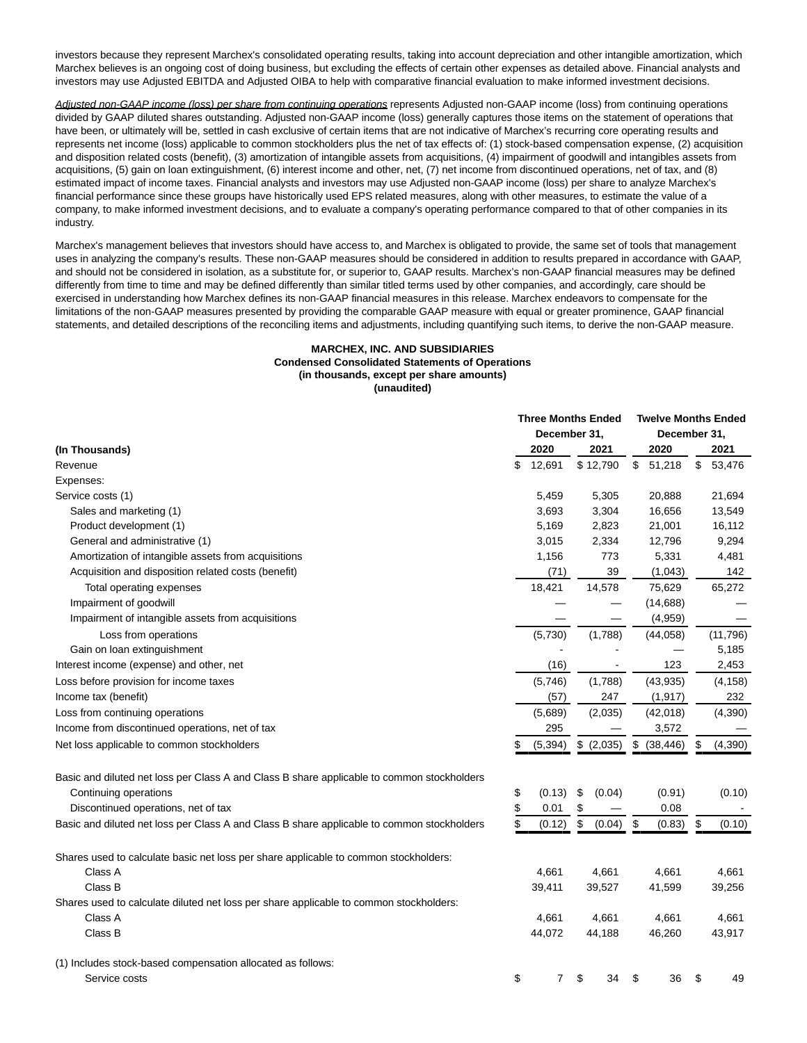investors because they represent Marchex's consolidated operating results, taking into account depreciation and other intangible amortization, which Marchex believes is an ongoing cost of doing business, but excluding the effects of certain other expenses as detailed above. Financial analysts and investors may use Adjusted EBITDA and Adjusted OIBA to help with comparative financial evaluation to make informed investment decisions.

Adjusted non-GAAP income (loss) per share from continuing operations represents Adjusted non-GAAP income (loss) from continuing operations divided by GAAP diluted shares outstanding. Adjusted non-GAAP income (loss) generally captures those items on the statement of operations that have been, or ultimately will be, settled in cash exclusive of certain items that are not indicative of Marchex's recurring core operating results and represents net income (loss) applicable to common stockholders plus the net of tax effects of: (1) stock-based compensation expense, (2) acquisition and disposition related costs (benefit), (3) amortization of intangible assets from acquisitions, (4) impairment of goodwill and intangibles assets from acquisitions, (5) gain on loan extinguishment, (6) interest income and other, net, (7) net income from discontinued operations, net of tax, and (8) estimated impact of income taxes. Financial analysts and investors may use Adjusted non-GAAP income (loss) per share to analyze Marchex's financial performance since these groups have historically used EPS related measures, along with other measures, to estimate the value of a company, to make informed investment decisions, and to evaluate a company's operating performance compared to that of other companies in its industry.

Marchex's management believes that investors should have access to, and Marchex is obligated to provide, the same set of tools that management uses in analyzing the company's results. These non-GAAP measures should be considered in addition to results prepared in accordance with GAAP, and should not be considered in isolation, as a substitute for, or superior to, GAAP results. Marchex's non-GAAP financial measures may be defined differently from time to time and may be defined differently than similar titled terms used by other companies, and accordingly, care should be exercised in understanding how Marchex defines its non-GAAP financial measures in this release. Marchex endeavors to compensate for the limitations of the non-GAAP measures presented by providing the comparable GAAP measure with equal or greater prominence, GAAP financial statements, and detailed descriptions of the reconciling items and adjustments, including quantifying such items, to derive the non-GAAP measure.

#### **MARCHEX, INC. AND SUBSIDIARIES Condensed Consolidated Statements of Operations (in thousands, except per share amounts) (unaudited)**

|                                                                                            |    |              | <b>Three Months Ended</b> | <b>Twelve Months Ended</b> |              |    |          |  |  |  |
|--------------------------------------------------------------------------------------------|----|--------------|---------------------------|----------------------------|--------------|----|----------|--|--|--|
|                                                                                            |    | December 31, |                           |                            | December 31, |    |          |  |  |  |
| (In Thousands)                                                                             |    | 2020         | 2021                      |                            | 2020         |    | 2021     |  |  |  |
| Revenue                                                                                    | \$ | 12.691       | \$12,790                  | \$                         | 51,218       | \$ | 53,476   |  |  |  |
| Expenses:                                                                                  |    |              |                           |                            |              |    |          |  |  |  |
| Service costs (1)                                                                          |    | 5,459        | 5,305                     |                            | 20,888       |    | 21,694   |  |  |  |
| Sales and marketing (1)                                                                    |    | 3,693        | 3,304                     |                            | 16,656       |    | 13,549   |  |  |  |
| Product development (1)                                                                    |    | 5,169        | 2,823                     |                            | 21,001       |    | 16,112   |  |  |  |
| General and administrative (1)                                                             |    | 3,015        | 2,334                     |                            | 12,796       |    | 9,294    |  |  |  |
| Amortization of intangible assets from acquisitions                                        |    | 1,156        | 773                       |                            | 5,331        |    | 4,481    |  |  |  |
| Acquisition and disposition related costs (benefit)                                        |    | (71)         | 39                        |                            | (1,043)      |    | 142      |  |  |  |
| Total operating expenses                                                                   |    | 18,421       | 14,578                    |                            | 75,629       |    | 65,272   |  |  |  |
| Impairment of goodwill                                                                     |    |              |                           |                            | (14,688)     |    |          |  |  |  |
| Impairment of intangible assets from acquisitions                                          |    |              |                           |                            | (4,959)      |    |          |  |  |  |
| Loss from operations                                                                       |    | (5,730)      | (1,788)                   |                            | (44, 058)    |    | (11,796) |  |  |  |
| Gain on loan extinguishment                                                                |    |              |                           |                            |              |    | 5,185    |  |  |  |
| Interest income (expense) and other, net                                                   |    | (16)         |                           |                            | 123          |    | 2,453    |  |  |  |
| Loss before provision for income taxes                                                     |    | (5,746)      | (1,788)                   |                            | (43, 935)    |    | (4, 158) |  |  |  |
| Income tax (benefit)                                                                       |    | (57)         | 247                       |                            | (1, 917)     |    | 232      |  |  |  |
| Loss from continuing operations                                                            |    | (5,689)      | (2,035)                   |                            | (42,018)     |    | (4,390)  |  |  |  |
| Income from discontinued operations, net of tax                                            |    | 295          |                           |                            | 3,572        |    |          |  |  |  |
| Net loss applicable to common stockholders                                                 |    | (5, 394)     | \$(2,035)                 | \$                         | (38, 446)    | \$ | (4,390)  |  |  |  |
|                                                                                            |    |              |                           |                            |              |    |          |  |  |  |
| Basic and diluted net loss per Class A and Class B share applicable to common stockholders |    |              |                           |                            |              |    |          |  |  |  |
| Continuing operations                                                                      | \$ | (0.13)       | \$<br>(0.04)              |                            | (0.91)       |    | (0.10)   |  |  |  |
| Discontinued operations, net of tax                                                        | \$ | 0.01         | \$                        |                            | 0.08         |    |          |  |  |  |
| Basic and diluted net loss per Class A and Class B share applicable to common stockholders | \$ | (0.12)       | \$<br>(0.04)              | \$                         | (0.83)       | \$ | (0.10)   |  |  |  |
|                                                                                            |    |              |                           |                            |              |    |          |  |  |  |
| Shares used to calculate basic net loss per share applicable to common stockholders:       |    |              |                           |                            |              |    |          |  |  |  |
| Class A                                                                                    |    | 4,661        | 4,661                     |                            | 4,661        |    | 4,661    |  |  |  |
| Class B                                                                                    |    | 39,411       | 39,527                    |                            | 41,599       |    | 39,256   |  |  |  |
| Shares used to calculate diluted net loss per share applicable to common stockholders:     |    |              |                           |                            |              |    |          |  |  |  |
| Class A                                                                                    |    | 4,661        | 4,661                     |                            | 4,661        |    | 4,661    |  |  |  |
| Class B                                                                                    |    | 44,072       | 44,188                    |                            | 46,260       |    | 43,917   |  |  |  |
|                                                                                            |    |              |                           |                            |              |    |          |  |  |  |
| (1) Includes stock-based compensation allocated as follows:                                |    |              |                           |                            |              |    |          |  |  |  |
| Service costs                                                                              | \$ | 7            | \$<br>34                  | \$                         | 36           | \$ | 49       |  |  |  |
|                                                                                            |    |              |                           |                            |              |    |          |  |  |  |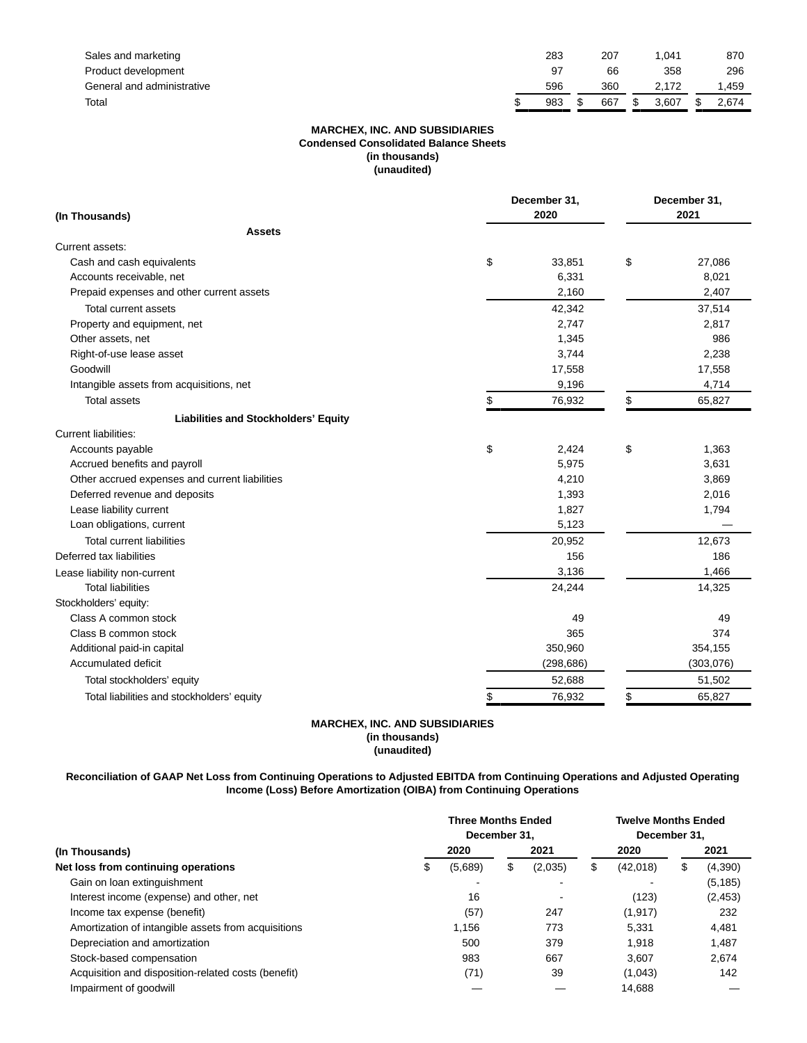| Sales and marketing        | 283 | 207 | .041        | 870   |
|----------------------------|-----|-----|-------------|-------|
| Product development        | 97  | 66  | 358         | 296   |
| General and administrative | 596 | 360 | 2.172       | .459  |
| Total                      | 983 | 667 | \$<br>3.607 | 2.674 |

#### **MARCHEX, INC. AND SUBSIDIARIES Condensed Consolidated Balance Sheets (in thousands) (unaudited)**

| December 31,<br>2020                           |    |            | December 31,<br>2021 |           |  |  |
|------------------------------------------------|----|------------|----------------------|-----------|--|--|
| (In Thousands)                                 |    |            |                      |           |  |  |
| <b>Assets</b><br>Current assets:               |    |            |                      |           |  |  |
|                                                |    |            |                      |           |  |  |
| Cash and cash equivalents                      | \$ | 33,851     | \$                   | 27,086    |  |  |
| Accounts receivable, net                       |    | 6,331      |                      | 8,021     |  |  |
| Prepaid expenses and other current assets      |    | 2,160      |                      | 2,407     |  |  |
| Total current assets                           |    | 42,342     |                      | 37,514    |  |  |
| Property and equipment, net                    |    | 2,747      |                      | 2,817     |  |  |
| Other assets, net                              |    | 1,345      |                      | 986       |  |  |
| Right-of-use lease asset                       |    | 3,744      |                      | 2,238     |  |  |
| Goodwill                                       |    | 17,558     |                      | 17,558    |  |  |
| Intangible assets from acquisitions, net       |    | 9,196      |                      | 4,714     |  |  |
| <b>Total assets</b>                            | \$ | 76,932     | \$                   | 65,827    |  |  |
| <b>Liabilities and Stockholders' Equity</b>    |    |            |                      |           |  |  |
| <b>Current liabilities:</b>                    |    |            |                      |           |  |  |
| Accounts payable                               | \$ | 2,424      | \$                   | 1,363     |  |  |
| Accrued benefits and payroll                   |    | 5,975      |                      | 3,631     |  |  |
| Other accrued expenses and current liabilities |    | 4,210      |                      | 3,869     |  |  |
| Deferred revenue and deposits                  |    | 1,393      |                      | 2,016     |  |  |
| Lease liability current                        |    | 1,827      |                      | 1,794     |  |  |
| Loan obligations, current                      |    | 5,123      |                      |           |  |  |
| <b>Total current liabilities</b>               |    | 20,952     |                      | 12,673    |  |  |
| Deferred tax liabilities                       |    | 156        |                      | 186       |  |  |
| Lease liability non-current                    |    | 3,136      |                      | 1,466     |  |  |
| <b>Total liabilities</b>                       |    | 24,244     |                      | 14,325    |  |  |
| Stockholders' equity:                          |    |            |                      |           |  |  |
| Class A common stock                           |    | 49         |                      | 49        |  |  |
| Class B common stock                           |    | 365        |                      | 374       |  |  |
| Additional paid-in capital                     |    | 350,960    |                      | 354,155   |  |  |
| Accumulated deficit                            |    | (298, 686) |                      | (303,076) |  |  |
| Total stockholders' equity                     |    | 52,688     |                      | 51,502    |  |  |
| Total liabilities and stockholders' equity     | S  | 76,932     | \$<br>65,827         |           |  |  |

#### **MARCHEX, INC. AND SUBSIDIARIES (in thousands) (unaudited)**

## **Reconciliation of GAAP Net Loss from Continuing Operations to Adjusted EBITDA from Continuing Operations and Adjusted Operating Income (Loss) Before Amortization (OIBA) from Continuing Operations**

| (In Thousands)<br>Net loss from continuing operations |   | <b>Three Months Ended</b><br>December 31. |    | <b>Twelve Months Ended</b><br>December 31. |    |          |    |          |  |  |
|-------------------------------------------------------|---|-------------------------------------------|----|--------------------------------------------|----|----------|----|----------|--|--|
|                                                       |   | 2020                                      |    | 2021                                       |    | 2020     |    | 2021     |  |  |
|                                                       | S | (5,689)                                   | \$ | (2,035)                                    | \$ | (42,018) | \$ | (4,390)  |  |  |
| Gain on loan extinguishment                           |   |                                           |    | ۰                                          |    |          |    | (5, 185) |  |  |
| Interest income (expense) and other, net              |   | 16                                        |    | $\overline{\phantom{a}}$                   |    | (123)    |    | (2, 453) |  |  |
| Income tax expense (benefit)                          |   | (57)                                      |    | 247                                        |    | (1, 917) |    | 232      |  |  |
| Amortization of intangible assets from acquisitions   |   | 1,156                                     |    | 773                                        |    | 5,331    |    | 4,481    |  |  |
| Depreciation and amortization                         |   | 500                                       |    | 379                                        |    | 1.918    |    | 1,487    |  |  |
| Stock-based compensation                              |   | 983                                       |    | 667                                        |    | 3.607    |    | 2.674    |  |  |
| Acquisition and disposition-related costs (benefit)   |   | (71)                                      |    | 39                                         |    | (1,043)  |    | 142      |  |  |
| Impairment of goodwill                                |   |                                           |    |                                            |    | 14.688   |    |          |  |  |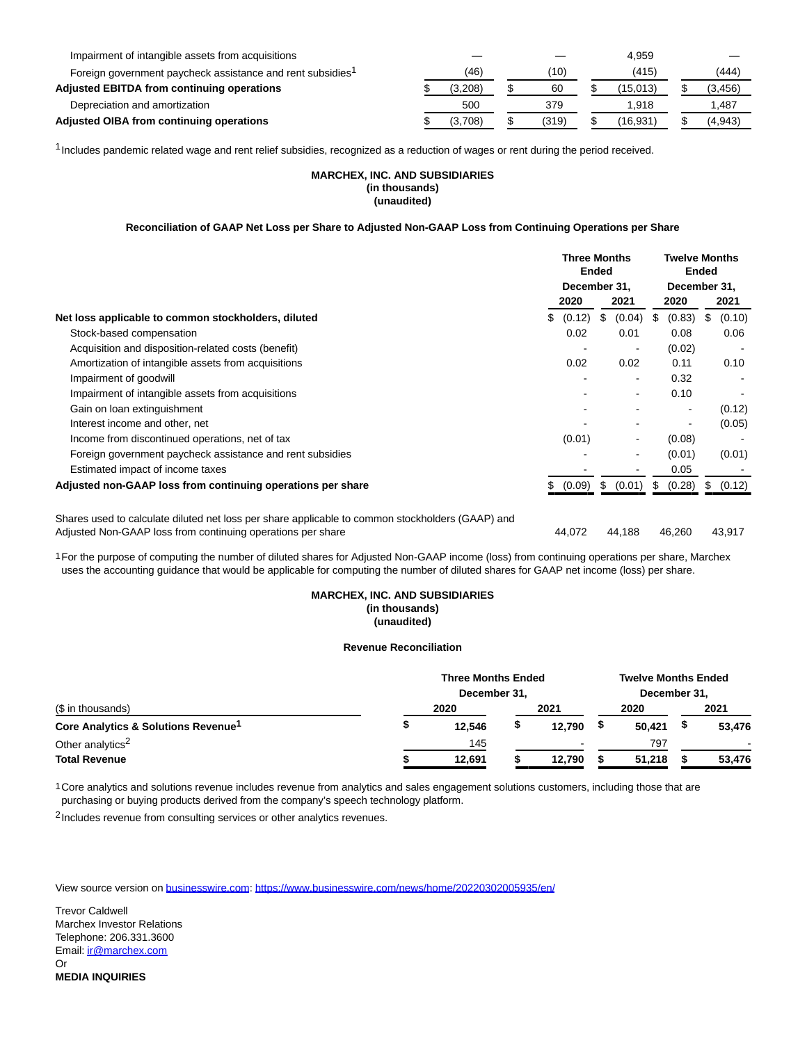| Impairment of intangible assets from acquisitions                      |         |       | 4.959    |          |
|------------------------------------------------------------------------|---------|-------|----------|----------|
| Foreign government paycheck assistance and rent subsidies <sup>1</sup> | (46)    | (10)  | (415)    | (444)    |
| <b>Adjusted EBITDA from continuing operations</b>                      | (3.208) | 60    | (15.013) | (3, 456) |
| Depreciation and amortization                                          | 500     | 379   | 1.918    | 1.487    |
| Adjusted OIBA from continuing operations                               | (3.708) | (319) | (16.931) | (4,943)  |

<sup>1</sup> Includes pandemic related wage and rent relief subsidies, recognized as a reduction of wages or rent during the period received.

## **MARCHEX, INC. AND SUBSIDIARIES (in thousands) (unaudited)**

#### **Reconciliation of GAAP Net Loss per Share to Adjusted Non-GAAP Loss from Continuing Operations per Share**

|                                                                                                                                                                 | <b>Three Months</b><br><b>Ended</b> |              |    |                          |              | <b>Twelve Months</b><br><b>Ended</b> |    |        |  |  |  |
|-----------------------------------------------------------------------------------------------------------------------------------------------------------------|-------------------------------------|--------------|----|--------------------------|--------------|--------------------------------------|----|--------|--|--|--|
|                                                                                                                                                                 |                                     | December 31, |    |                          | December 31, |                                      |    |        |  |  |  |
|                                                                                                                                                                 |                                     | 2020         |    | 2021                     |              | 2020                                 |    | 2021   |  |  |  |
| Net loss applicable to common stockholders, diluted                                                                                                             | \$                                  | (0.12)       | \$ | (0.04)                   | \$           | (0.83)                               | \$ | (0.10) |  |  |  |
| Stock-based compensation                                                                                                                                        |                                     | 0.02         |    | 0.01                     |              | 0.08                                 |    | 0.06   |  |  |  |
| Acquisition and disposition-related costs (benefit)                                                                                                             |                                     |              |    |                          |              | (0.02)                               |    |        |  |  |  |
| Amortization of intangible assets from acquisitions                                                                                                             |                                     | 0.02         |    | 0.02                     |              | 0.11                                 |    | 0.10   |  |  |  |
| Impairment of goodwill                                                                                                                                          |                                     |              |    |                          |              | 0.32                                 |    |        |  |  |  |
| Impairment of intangible assets from acquisitions                                                                                                               |                                     |              |    |                          |              | 0.10                                 |    |        |  |  |  |
| Gain on loan extinguishment                                                                                                                                     |                                     |              |    |                          |              | $\overline{\phantom{a}}$             |    | (0.12) |  |  |  |
| Interest income and other, net                                                                                                                                  |                                     |              |    |                          |              | $\overline{\phantom{a}}$             |    | (0.05) |  |  |  |
| Income from discontinued operations, net of tax                                                                                                                 |                                     | (0.01)       |    |                          |              | (0.08)                               |    |        |  |  |  |
| Foreign government paycheck assistance and rent subsidies                                                                                                       |                                     |              |    | $\overline{\phantom{a}}$ |              | (0.01)                               |    | (0.01) |  |  |  |
| Estimated impact of income taxes                                                                                                                                |                                     |              |    |                          |              | 0.05                                 |    |        |  |  |  |
| Adjusted non-GAAP loss from continuing operations per share                                                                                                     | \$                                  | (0.09)       | \$ | (0.01)                   | \$           | (0.28)                               | \$ | (0.12) |  |  |  |
| Shares used to calculate diluted net loss per share applicable to common stockholders (GAAP) and<br>Adjusted Non-GAAP loss from continuing operations per share |                                     | 44,072       |    | 44,188                   |              | 46,260                               |    | 43,917 |  |  |  |

1For the purpose of computing the number of diluted shares for Adjusted Non-GAAP income (loss) from continuing operations per share, Marchex uses the accounting guidance that would be applicable for computing the number of diluted shares for GAAP net income (loss) per share.

## **MARCHEX, INC. AND SUBSIDIARIES (in thousands)**

**(unaudited)**

#### **Revenue Reconciliation**

| (\$ in thousands)<br>Core Analytics & Solutions Revenue <sup>1</sup> |  | <b>Twelve Months Ended</b><br>December 31, |  |                          |  |        |      |        |
|----------------------------------------------------------------------|--|--------------------------------------------|--|--------------------------|--|--------|------|--------|
|                                                                      |  | 2020                                       |  |                          |  | 2020   | 2021 |        |
|                                                                      |  | 12.546                                     |  | 12.790                   |  | 50.421 |      | 53.476 |
| Other analytics <sup>2</sup>                                         |  | 145                                        |  | $\overline{\phantom{a}}$ |  | 797    |      |        |
| <b>Total Revenue</b>                                                 |  | 12.691                                     |  | 12,790                   |  | 51.218 |      | 53.476 |

1Core analytics and solutions revenue includes revenue from analytics and sales engagement solutions customers, including those that are purchasing or buying products derived from the company's speech technology platform.

<sup>2</sup>Includes revenue from consulting services or other analytics revenues.

View source version on [businesswire.com:](http://businesswire.com/)<https://www.businesswire.com/news/home/20220302005935/en/>

Trevor Caldwell Marchex Investor Relations Telephone: 206.331.3600 Email[: ir@marchex.com](mailto:ir@marchex.com) Or **MEDIA INQUIRIES**